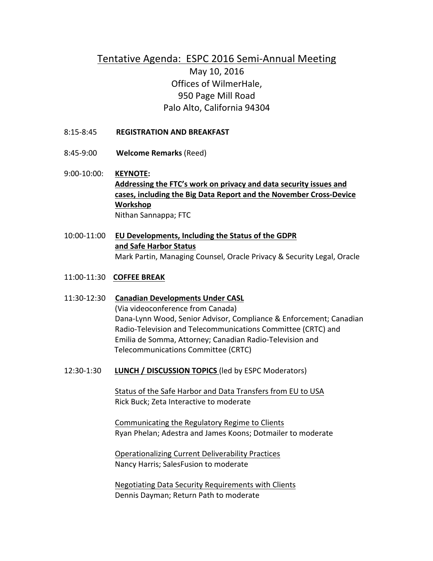## Tentative Agenda: ESPC 2016 Semi-Annual Meeting May 10, 2016 Offices of WilmerHale, 950 Page Mill Road Palo Alto, California 94304

- 8:15-8:45 **REGISTRATION AND BREAKFAST**
- 8:45-9:00 **Welcome Remarks** (Reed)
- 9:00-10:00: **KEYNOTE:** Addressing the FTC's work on privacy and data security issues and cases, including the Big Data Report and the November Cross-Device **Workshop** Nithan Sannappa; FTC
- 10:00-11:00 **EU Developments, Including the Status of the GDPR** and Safe Harbor Status Mark Partin, Managing Counsel, Oracle Privacy & Security Legal, Oracle
- 11:00-11:30 **COFFEE BREAK**
- 11:30-12:30 **Canadian Developments Under CASL** (Via videoconference from Canada) Dana-Lynn Wood, Senior Advisor, Compliance & Enforcement; Canadian Radio-Television and Telecommunications Committee (CRTC) and Emilia de Somma, Attorney; Canadian Radio-Television and Telecommunications Committee (CRTC)
- 12:30-1:30 **LUNCH / DISCUSSION TOPICS** (led by ESPC Moderators)

Status of the Safe Harbor and Data Transfers from EU to USA Rick Buck; Zeta Interactive to moderate

Communicating the Regulatory Regime to Clients Ryan Phelan; Adestra and James Koons; Dotmailer to moderate

Operationalizing Current Deliverability Practices Nancy Harris; SalesFusion to moderate

Negotiating Data Security Requirements with Clients Dennis Dayman; Return Path to moderate